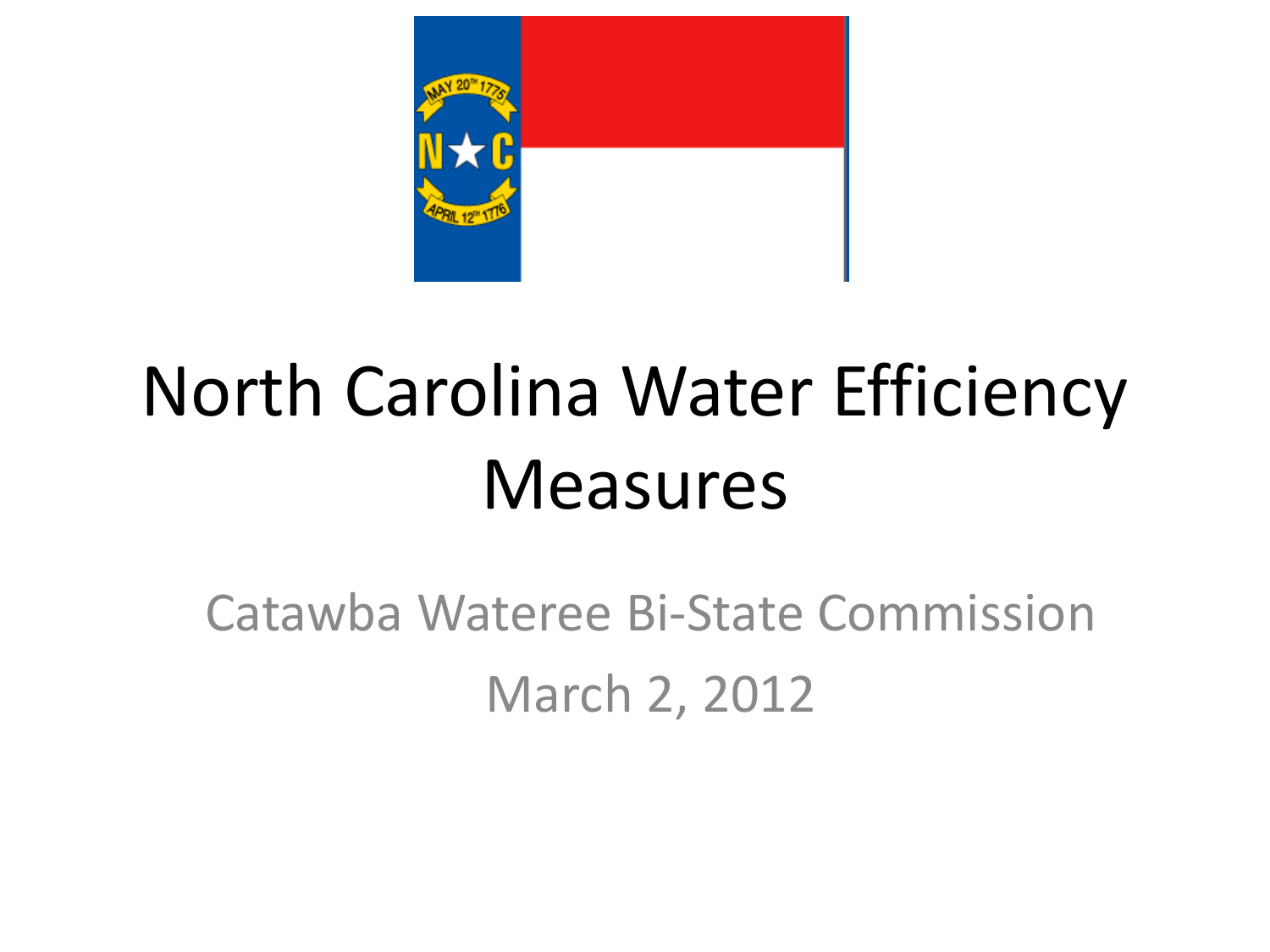

# North Carolina Water Efficiency Measures

Catawba Wateree Bi-State Commission March 2, 2012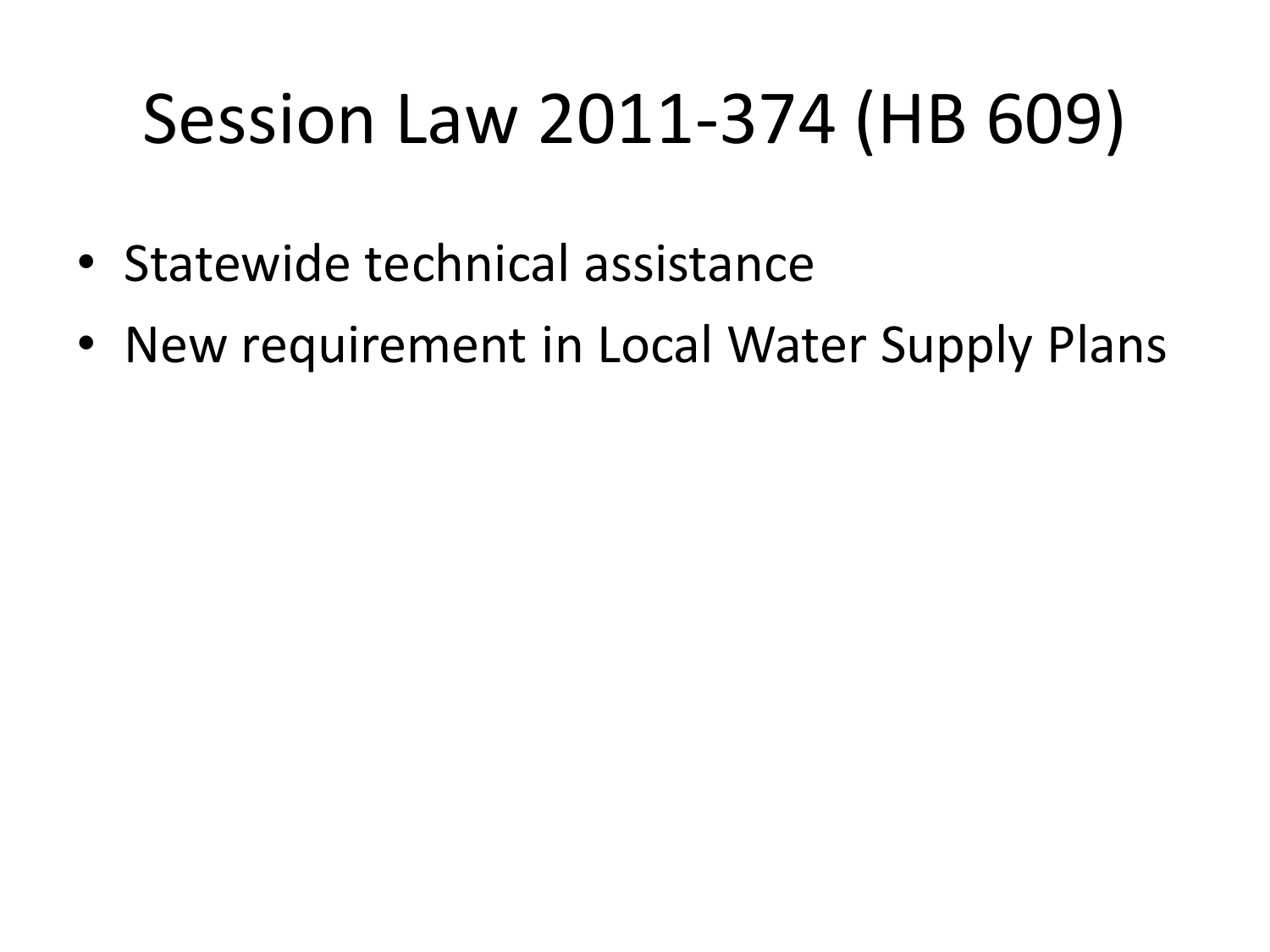# Session Law 2011-374 (HB 609)

- Statewide technical assistance
- New requirement in Local Water Supply Plans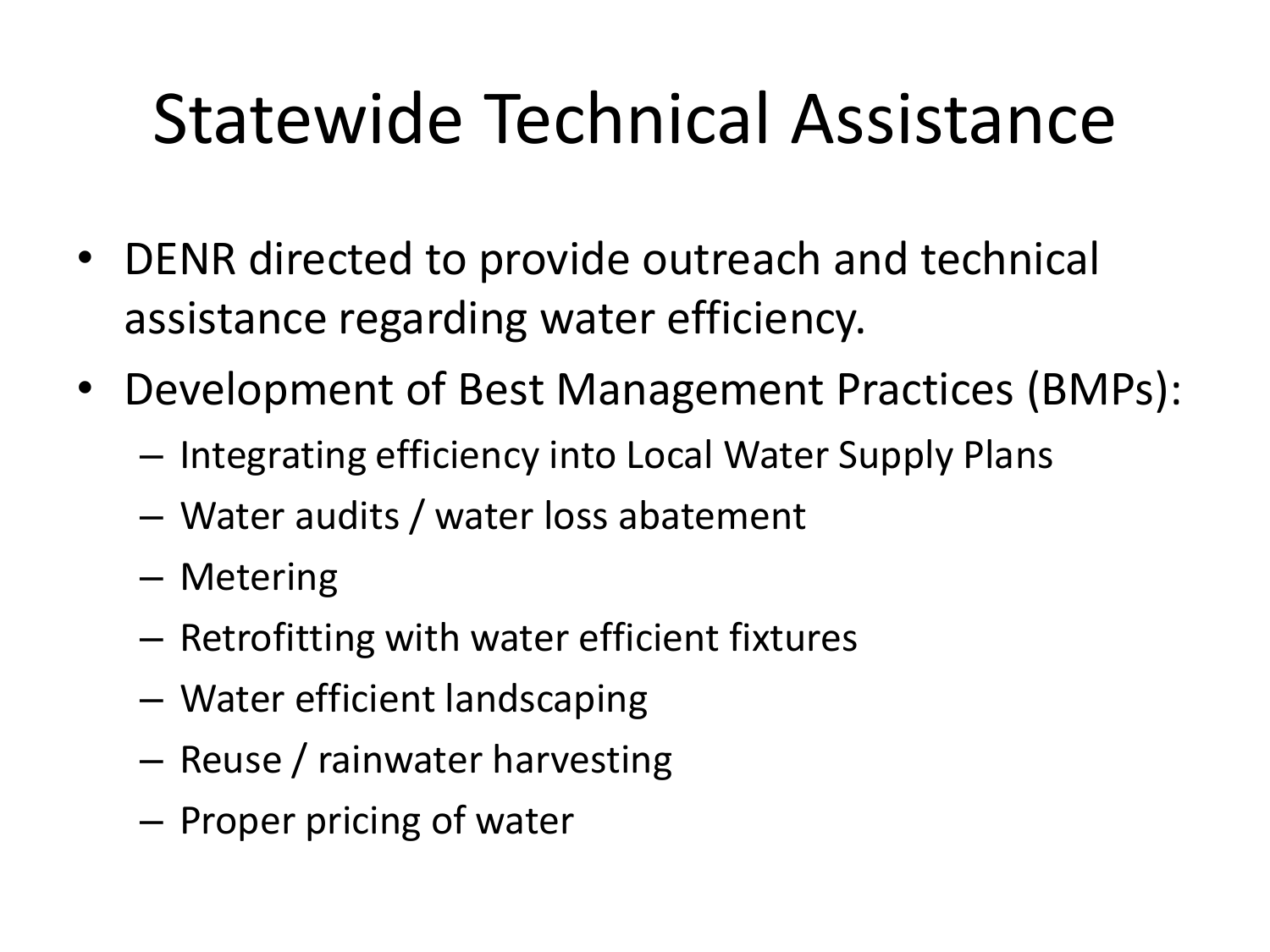### Statewide Technical Assistance

- DENR directed to provide outreach and technical assistance regarding water efficiency.
- Development of Best Management Practices (BMPs):
	- Integrating efficiency into Local Water Supply Plans
	- Water audits / water loss abatement
	- Metering
	- Retrofitting with water efficient fixtures
	- Water efficient landscaping
	- Reuse / rainwater harvesting
	- Proper pricing of water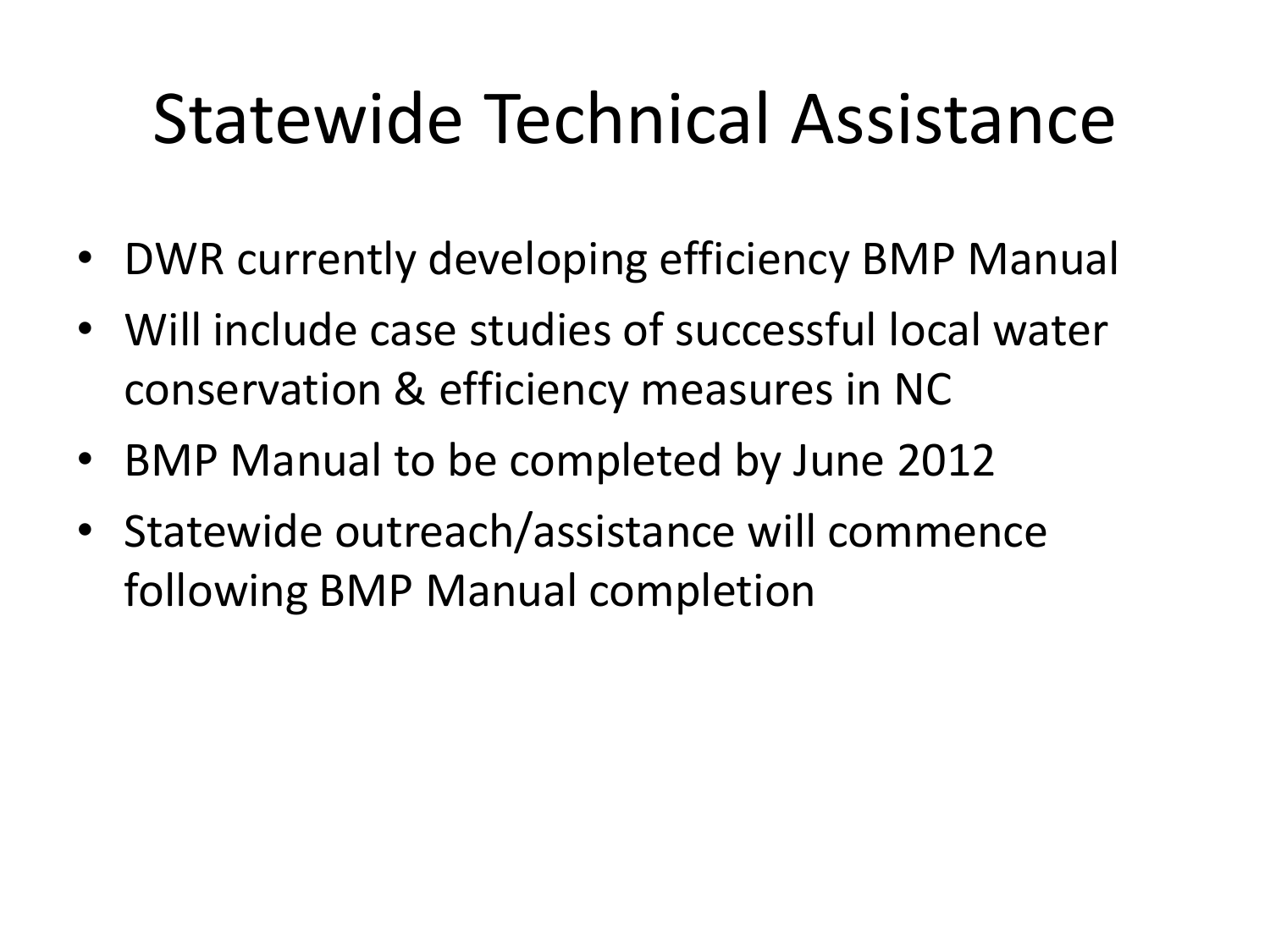### Statewide Technical Assistance

- DWR currently developing efficiency BMP Manual
- Will include case studies of successful local water conservation & efficiency measures in NC
- BMP Manual to be completed by June 2012
- Statewide outreach/assistance will commence following BMP Manual completion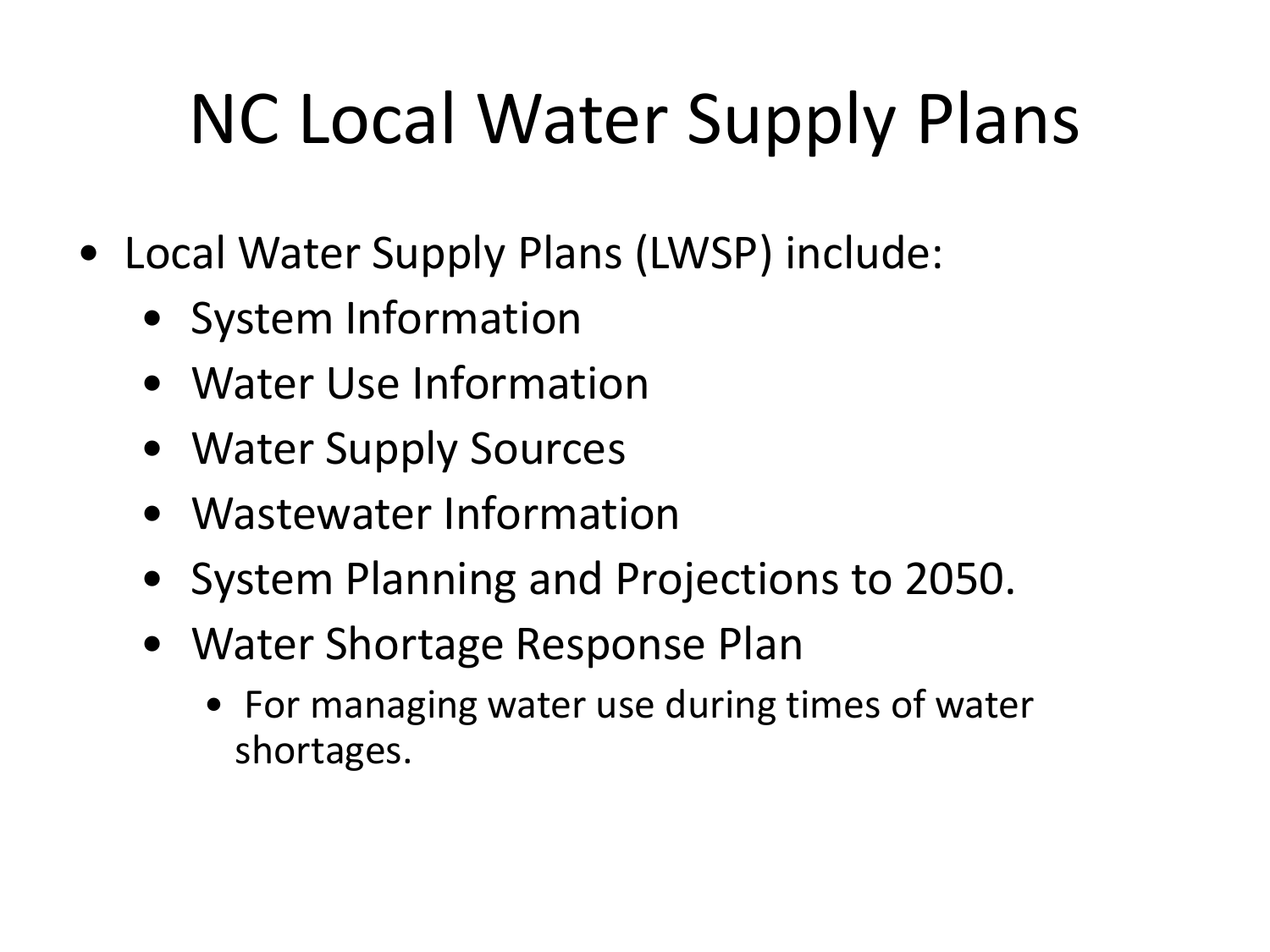# NC Local Water Supply Plans

- Local Water Supply Plans (LWSP) include:
	- System Information
	- Water Use Information
	- Water Supply Sources
	- Wastewater Information
	- System Planning and Projections to 2050.
	- Water Shortage Response Plan
		- For managing water use during times of water shortages.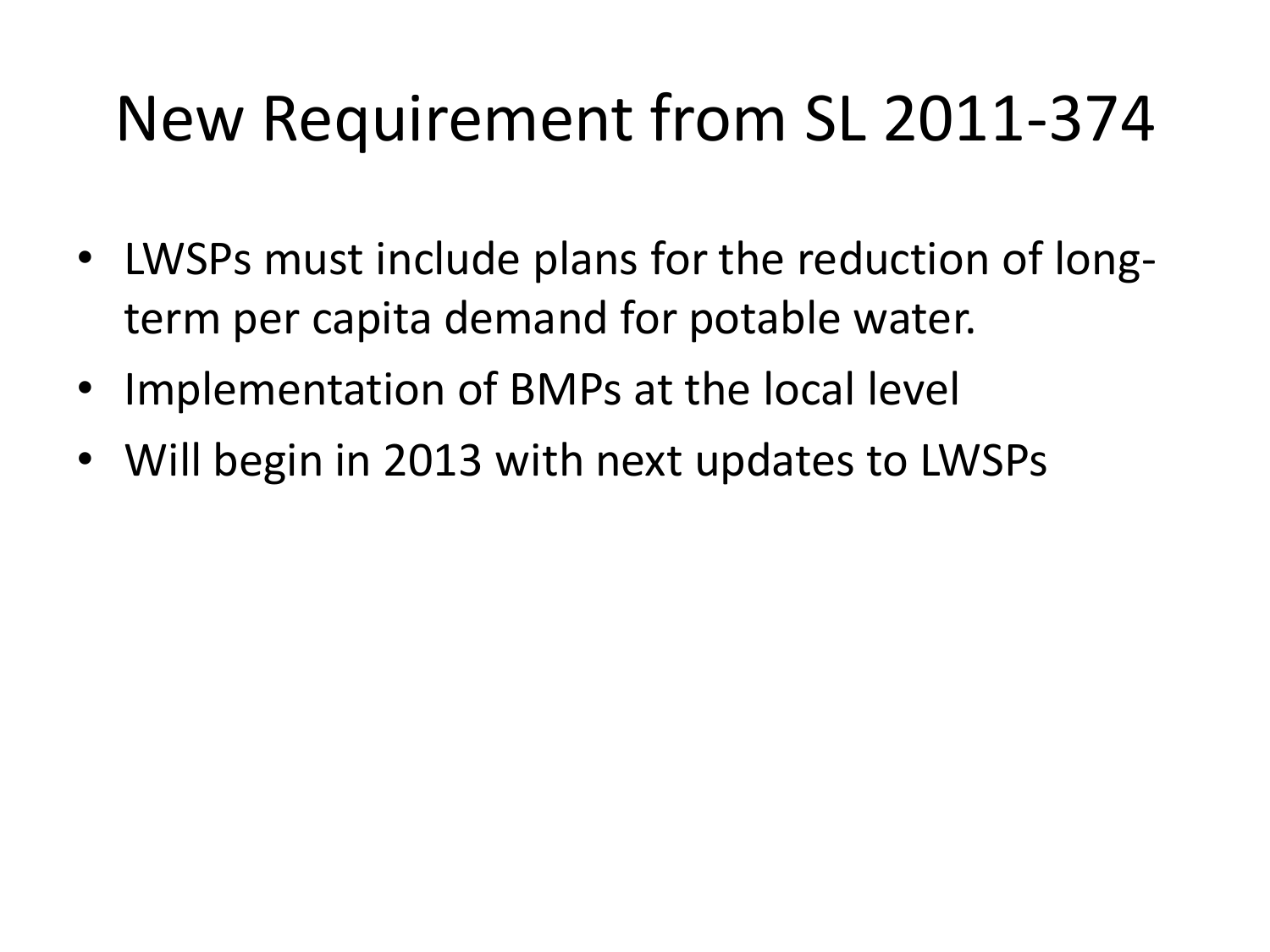#### New Requirement from SL 2011-374

- LWSPs must include plans for the reduction of longterm per capita demand for potable water.
- Implementation of BMPs at the local level
- Will begin in 2013 with next updates to LWSPs